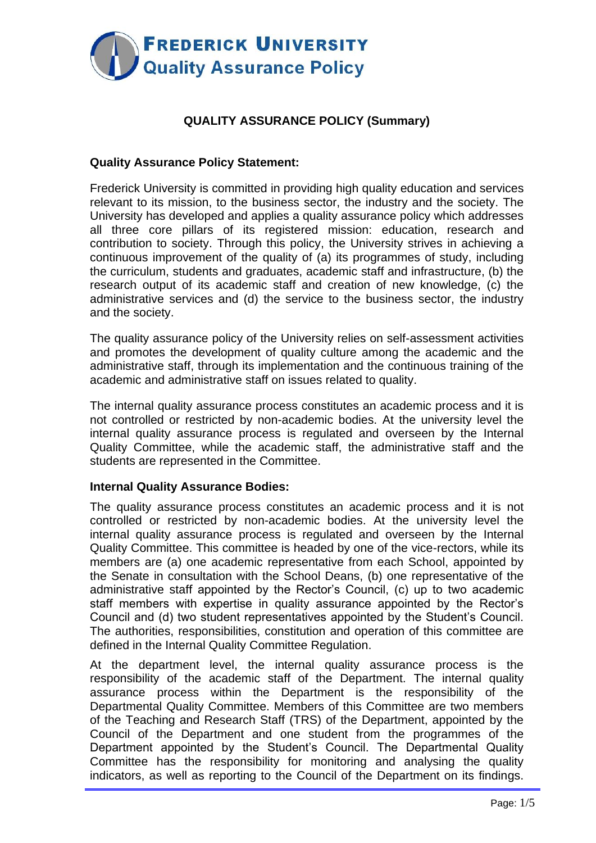

# **QUALITY ASSURANCE POLICY (Summary)**

# **Quality Assurance Policy Statement:**

Frederick University is committed in providing high quality education and services relevant to its mission, to the business sector, the industry and the society. The University has developed and applies a quality assurance policy which addresses all three core pillars of its registered mission: education, research and contribution to society. Through this policy, the University strives in achieving a continuous improvement of the quality of (a) its programmes of study, including the curriculum, students and graduates, academic staff and infrastructure, (b) the research output of its academic staff and creation of new knowledge, (c) the administrative services and (d) the service to the business sector, the industry and the society.

The quality assurance policy of the University relies on self-assessment activities and promotes the development of quality culture among the academic and the administrative staff, through its implementation and the continuous training of the academic and administrative staff on issues related to quality.

The internal quality assurance process constitutes an academic process and it is not controlled or restricted by non-academic bodies. At the university level the internal quality assurance process is regulated and overseen by the Internal Quality Committee, while the academic staff, the administrative staff and the students are represented in the Committee.

# **Internal Quality Assurance Bodies:**

The quality assurance process constitutes an academic process and it is not controlled or restricted by non-academic bodies. At the university level the internal quality assurance process is regulated and overseen by the Internal Quality Committee. This committee is headed by one of the vice-rectors, while its members are (a) one academic representative from each School, appointed by the Senate in consultation with the School Deans, (b) one representative of the administrative staff appointed by the Rector's Council, (c) up to two academic staff members with expertise in quality assurance appointed by the Rector's Council and (d) two student representatives appointed by the Student's Council. The authorities, responsibilities, constitution and operation of this committee are defined in the Internal Quality Committee Regulation.

At the department level, the internal quality assurance process is the responsibility of the academic staff of the Department. The internal quality assurance process within the Department is the responsibility of the Departmental Quality Committee. Members of this Committee are two members of the Teaching and Research Staff (TRS) of the Department, appointed by the Council of the Department and one student from the programmes of the Department appointed by the Student's Council. The Departmental Quality Committee has the responsibility for monitoring and analysing the quality indicators, as well as reporting to the Council of the Department on its findings.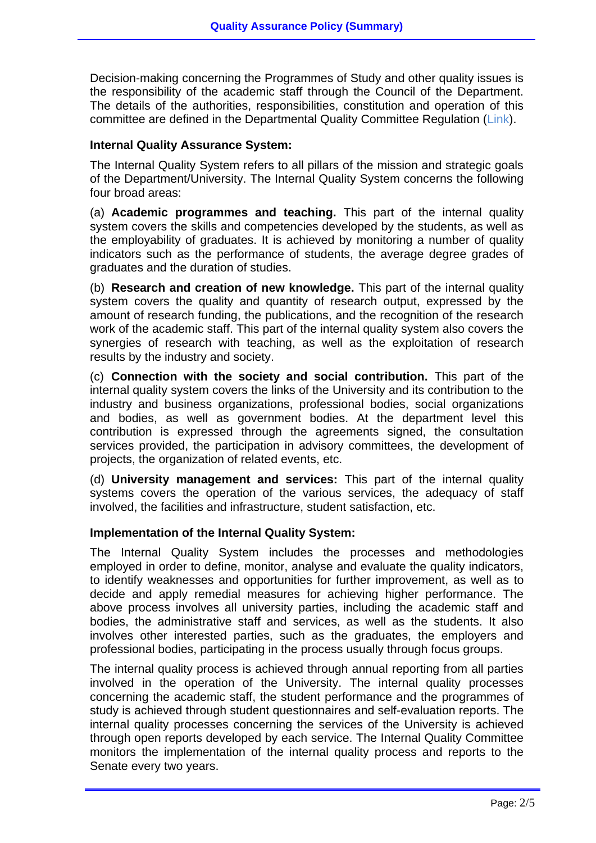Decision-making concerning the Programmes of Study and other quality issues is the responsibility of the academic staff through the Council of the Department. The details of the authorities, responsibilities, constitution and operation of this committee are defined in the Departmental Quality Committee Regulation (Link).

### **Internal Quality Assurance System:**

The Internal Quality System refers to all pillars of the mission and strategic goals of the Department/University. The Internal Quality System concerns the following four broad areas:

(a) **Academic programmes and teaching.** This part of the internal quality system covers the skills and competencies developed by the students, as well as the employability of graduates. It is achieved by monitoring a number of quality indicators such as the performance of students, the average degree grades of graduates and the duration of studies.

(b) **Research and creation of new knowledge.** This part of the internal quality system covers the quality and quantity of research output, expressed by the amount of research funding, the publications, and the recognition of the research work of the academic staff. This part of the internal quality system also covers the synergies of research with teaching, as well as the exploitation of research results by the industry and society.

(c) **Connection with the society and social contribution.** This part of the internal quality system covers the links of the University and its contribution to the industry and business organizations, professional bodies, social organizations and bodies, as well as government bodies. At the department level this contribution is expressed through the agreements signed, the consultation services provided, the participation in advisory committees, the development of projects, the organization of related events, etc.

(d) **University management and services:** This part of the internal quality systems covers the operation of the various services, the adequacy of staff involved, the facilities and infrastructure, student satisfaction, etc.

#### **Implementation of the Internal Quality System:**

The Internal Quality System includes the processes and methodologies employed in order to define, monitor, analyse and evaluate the quality indicators, to identify weaknesses and opportunities for further improvement, as well as to decide and apply remedial measures for achieving higher performance. The above process involves all university parties, including the academic staff and bodies, the administrative staff and services, as well as the students. It also involves other interested parties, such as the graduates, the employers and professional bodies, participating in the process usually through focus groups.

The internal quality process is achieved through annual reporting from all parties involved in the operation of the University. The internal quality processes concerning the academic staff, the student performance and the programmes of study is achieved through student questionnaires and self-evaluation reports. The internal quality processes concerning the services of the University is achieved through open reports developed by each service. The Internal Quality Committee monitors the implementation of the internal quality process and reports to the Senate every two years.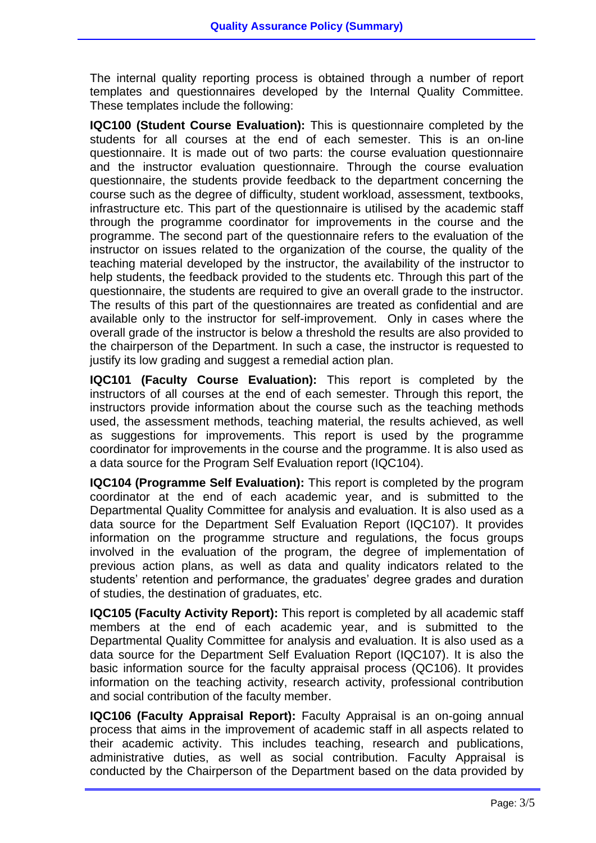The internal quality reporting process is obtained through a number of report templates and questionnaires developed by the Internal Quality Committee. These templates include the following:

**IQC100 (Student Course Evaluation):** This is questionnaire completed by the students for all courses at the end of each semester. This is an on-line questionnaire. It is made out of two parts: the course evaluation questionnaire and the instructor evaluation questionnaire. Through the course evaluation questionnaire, the students provide feedback to the department concerning the course such as the degree of difficulty, student workload, assessment, textbooks, infrastructure etc. This part of the questionnaire is utilised by the academic staff through the programme coordinator for improvements in the course and the programme. The second part of the questionnaire refers to the evaluation of the instructor on issues related to the organization of the course, the quality of the teaching material developed by the instructor, the availability of the instructor to help students, the feedback provided to the students etc. Through this part of the questionnaire, the students are required to give an overall grade to the instructor. The results of this part of the questionnaires are treated as confidential and are available only to the instructor for self-improvement. Only in cases where the overall grade of the instructor is below a threshold the results are also provided to the chairperson of the Department. In such a case, the instructor is requested to justify its low grading and suggest a remedial action plan.

**IQC101 (Faculty Course Evaluation):** This report is completed by the instructors of all courses at the end of each semester. Through this report, the instructors provide information about the course such as the teaching methods used, the assessment methods, teaching material, the results achieved, as well as suggestions for improvements. This report is used by the programme coordinator for improvements in the course and the programme. It is also used as a data source for the Program Self Evaluation report (IQC104).

**IQC104 (Programme Self Evaluation):** This report is completed by the program coordinator at the end of each academic year, and is submitted to the Departmental Quality Committee for analysis and evaluation. It is also used as a data source for the Department Self Evaluation Report (IQC107). It provides information on the programme structure and regulations, the focus groups involved in the evaluation of the program, the degree of implementation of previous action plans, as well as data and quality indicators related to the students' retention and performance, the graduates' degree grades and duration of studies, the destination of graduates, etc.

**IQC105 (Faculty Activity Report):** This report is completed by all academic staff members at the end of each academic year, and is submitted to the Departmental Quality Committee for analysis and evaluation. It is also used as a data source for the Department Self Evaluation Report (IQC107). It is also the basic information source for the faculty appraisal process (QC106). It provides information on the teaching activity, research activity, professional contribution and social contribution of the faculty member.

**IQC106 (Faculty Appraisal Report):** Faculty Appraisal is an on-going annual process that aims in the improvement of academic staff in all aspects related to their academic activity. This includes teaching, research and publications, administrative duties, as well as social contribution. Faculty Appraisal is conducted by the Chairperson of the Department based on the data provided by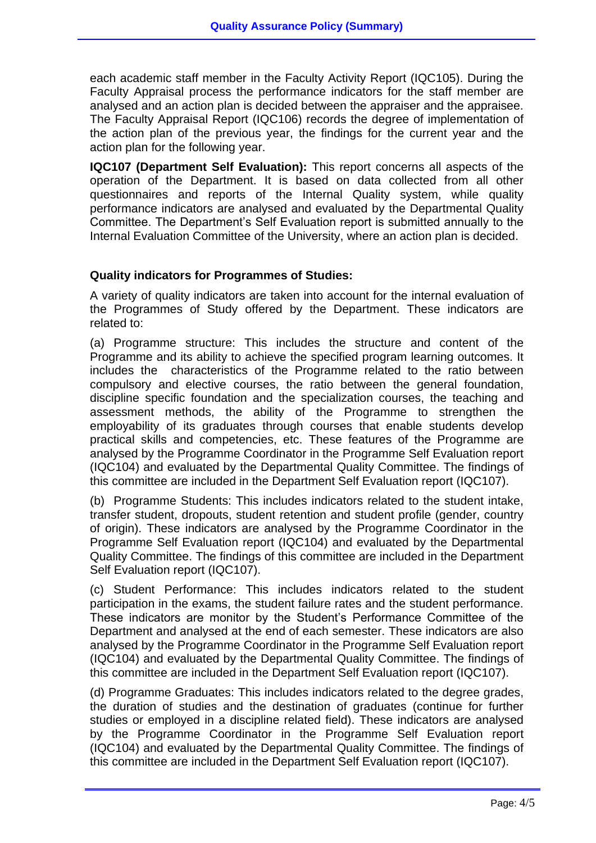each academic staff member in the Faculty Activity Report (IQC105). During the Faculty Appraisal process the performance indicators for the staff member are analysed and an action plan is decided between the appraiser and the appraisee. The Faculty Appraisal Report (IQC106) records the degree of implementation of the action plan of the previous year, the findings for the current year and the action plan for the following year.

**IQC107 (Department Self Evaluation):** This report concerns all aspects of the operation of the Department. It is based on data collected from all other questionnaires and reports of the Internal Quality system, while quality performance indicators are analysed and evaluated by the Departmental Quality Committee. The Department's Self Evaluation report is submitted annually to the Internal Evaluation Committee of the University, where an action plan is decided.

# **Quality indicators for Programmes of Studies:**

A variety of quality indicators are taken into account for the internal evaluation of the Programmes of Study offered by the Department. These indicators are related to:

(a) Programme structure: This includes the structure and content of the Programme and its ability to achieve the specified program learning outcomes. It includes the characteristics of the Programme related to the ratio between compulsory and elective courses, the ratio between the general foundation, discipline specific foundation and the specialization courses, the teaching and assessment methods, the ability of the Programme to strengthen the employability of its graduates through courses that enable students develop practical skills and competencies, etc. These features of the Programme are analysed by the Programme Coordinator in the Programme Self Evaluation report (IQC104) and evaluated by the Departmental Quality Committee. The findings of this committee are included in the Department Self Evaluation report (IQC107).

(b) Programme Students: This includes indicators related to the student intake, transfer student, dropouts, student retention and student profile (gender, country of origin). These indicators are analysed by the Programme Coordinator in the Programme Self Evaluation report (IQC104) and evaluated by the Departmental Quality Committee. The findings of this committee are included in the Department Self Evaluation report (IQC107).

(c) Student Performance: This includes indicators related to the student participation in the exams, the student failure rates and the student performance. These indicators are monitor by the Student's Performance Committee of the Department and analysed at the end of each semester. These indicators are also analysed by the Programme Coordinator in the Programme Self Evaluation report (IQC104) and evaluated by the Departmental Quality Committee. The findings of this committee are included in the Department Self Evaluation report (IQC107).

(d) Programme Graduates: This includes indicators related to the degree grades, the duration of studies and the destination of graduates (continue for further studies or employed in a discipline related field). These indicators are analysed by the Programme Coordinator in the Programme Self Evaluation report (IQC104) and evaluated by the Departmental Quality Committee. The findings of this committee are included in the Department Self Evaluation report (IQC107).